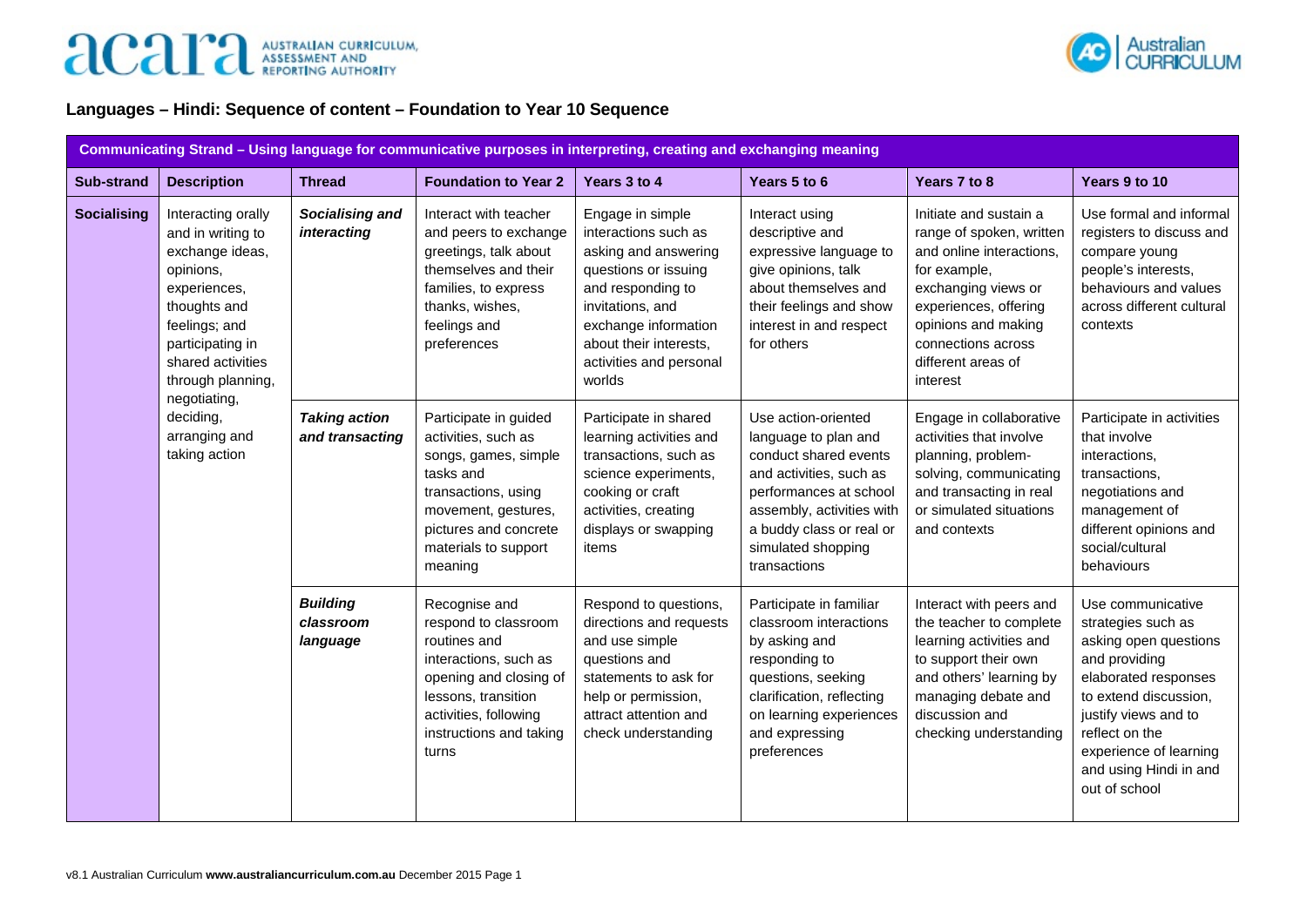

## **Languages – Hindi: Sequence of content – Foundation to Year 10 Sequence**

|                    | Communicating Strand - Using language for communicative purposes in interpreting, creating and exchanging meaning                                                                                                                                     |                                                                                                                                                                                              |                                                                                                                                                                                             |                                                                                                                                                                                                                          |                                                                                                                                                                                                                          |                                                                                                                                                                                                                                                   |                                                                                                                                                                             |
|--------------------|-------------------------------------------------------------------------------------------------------------------------------------------------------------------------------------------------------------------------------------------------------|----------------------------------------------------------------------------------------------------------------------------------------------------------------------------------------------|---------------------------------------------------------------------------------------------------------------------------------------------------------------------------------------------|--------------------------------------------------------------------------------------------------------------------------------------------------------------------------------------------------------------------------|--------------------------------------------------------------------------------------------------------------------------------------------------------------------------------------------------------------------------|---------------------------------------------------------------------------------------------------------------------------------------------------------------------------------------------------------------------------------------------------|-----------------------------------------------------------------------------------------------------------------------------------------------------------------------------|
| <b>Sub-strand</b>  | <b>Description</b>                                                                                                                                                                                                                                    | <b>Thread</b>                                                                                                                                                                                | <b>Foundation to Year 2</b>                                                                                                                                                                 | Years 3 to 4                                                                                                                                                                                                             | Years 5 to 6                                                                                                                                                                                                             | Years 7 to 8                                                                                                                                                                                                                                      | Years 9 to 10                                                                                                                                                               |
| <b>Socialising</b> | Interacting orally<br>and in writing to<br>exchange ideas,<br>opinions,<br>experiences,<br>thoughts and<br>feelings; and<br>participating in<br>shared activities<br>through planning,<br>negotiating,<br>deciding,<br>arranging and<br>taking action | Socialising and<br>interacting                                                                                                                                                               | Interact with teacher<br>and peers to exchange<br>greetings, talk about<br>themselves and their<br>families, to express<br>thanks, wishes,<br>feelings and<br>preferences                   | Engage in simple<br>interactions such as<br>asking and answering<br>questions or issuing<br>and responding to<br>invitations, and<br>exchange information<br>about their interests,<br>activities and personal<br>worlds | Interact using<br>descriptive and<br>expressive language to<br>give opinions, talk<br>about themselves and<br>their feelings and show<br>interest in and respect<br>for others                                           | Initiate and sustain a<br>range of spoken, written<br>and online interactions,<br>for example,<br>exchanging views or<br>experiences, offering<br>opinions and making<br>connections across<br>different areas of<br>interest                     | Use formal and informal<br>registers to discuss and<br>compare young<br>people's interests,<br>behaviours and values<br>across different cultural<br>contexts               |
|                    |                                                                                                                                                                                                                                                       | <b>Taking action</b><br>and transacting                                                                                                                                                      | Participate in guided<br>activities, such as<br>songs, games, simple<br>tasks and<br>transactions, using<br>movement, gestures,<br>pictures and concrete<br>materials to support<br>meaning | Participate in shared<br>learning activities and<br>transactions, such as<br>science experiments,<br>cooking or craft<br>activities, creating<br>displays or swapping<br>items                                           | Use action-oriented<br>language to plan and<br>conduct shared events<br>and activities, such as<br>performances at school<br>assembly, activities with<br>a buddy class or real or<br>simulated shopping<br>transactions | Engage in collaborative<br>activities that involve<br>planning, problem-<br>solving, communicating<br>and transacting in real<br>or simulated situations<br>and contexts                                                                          | Participate in activities<br>that involve<br>interactions,<br>transactions,<br>negotiations and<br>management of<br>different opinions and<br>social/cultural<br>behaviours |
|                    | <b>Building</b><br>classroom<br>language                                                                                                                                                                                                              | Recognise and<br>respond to classroom<br>routines and<br>interactions, such as<br>opening and closing of<br>lessons, transition<br>activities, following<br>instructions and taking<br>turns | Respond to questions,<br>directions and requests<br>and use simple<br>questions and<br>statements to ask for<br>help or permission,<br>attract attention and<br>check understanding         | Participate in familiar<br>classroom interactions<br>by asking and<br>responding to<br>questions, seeking<br>clarification, reflecting<br>on learning experiences<br>and expressing<br>preferences                       | Interact with peers and<br>the teacher to complete<br>learning activities and<br>to support their own<br>and others' learning by<br>managing debate and<br>discussion and<br>checking understanding                      | Use communicative<br>strategies such as<br>asking open questions<br>and providing<br>elaborated responses<br>to extend discussion.<br>justify views and to<br>reflect on the<br>experience of learning<br>and using Hindi in and<br>out of school |                                                                                                                                                                             |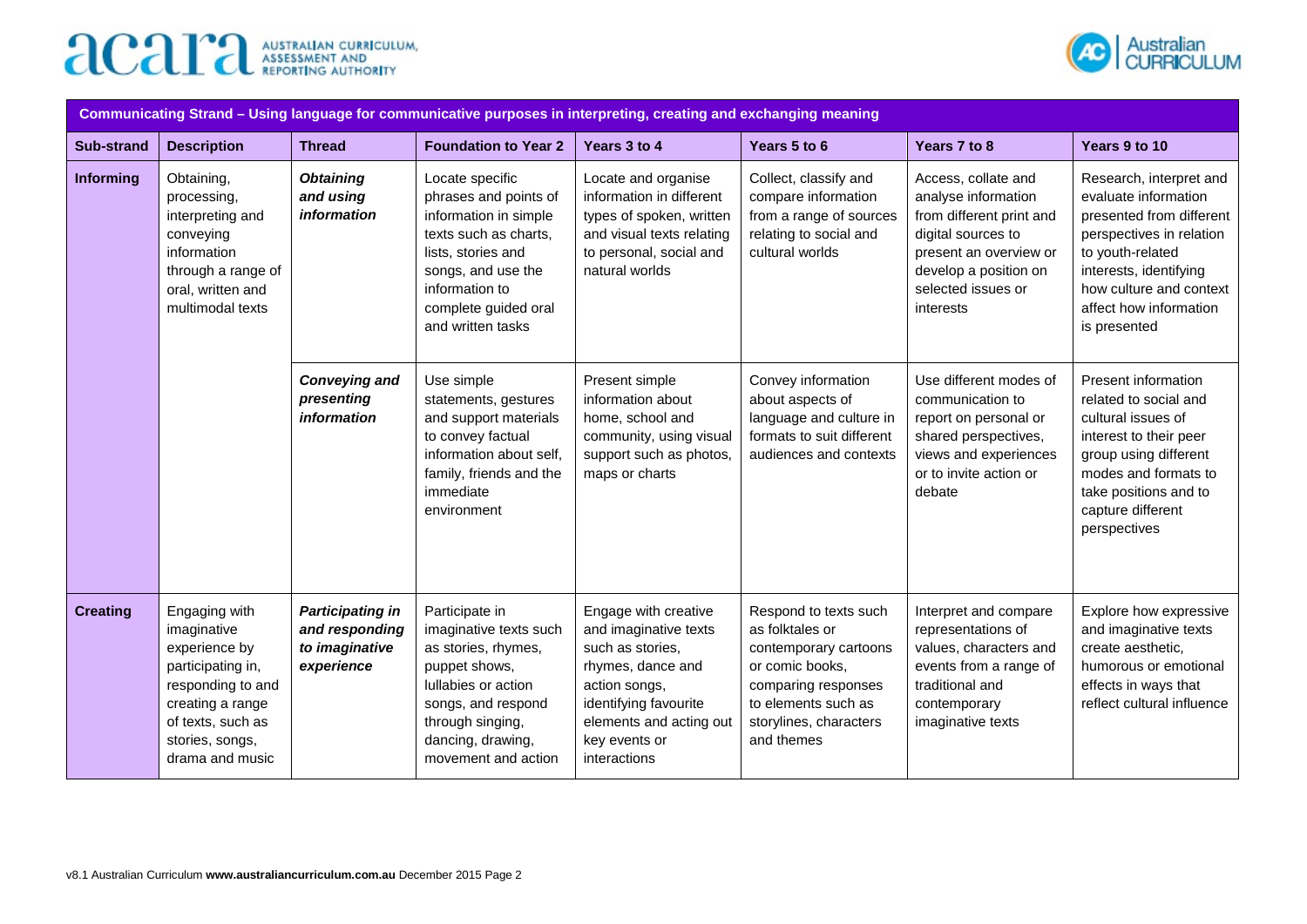



| Communicating Strand - Using language for communicative purposes in interpreting, creating and exchanging meaning |                                                                                                                                                                        |                                                                           |                                                                                                                                                                                                       |                                                                                                                                                                                              |                                                                                                                                                                            |                                                                                                                                                                                    |                                                                                                                                                                                                                            |
|-------------------------------------------------------------------------------------------------------------------|------------------------------------------------------------------------------------------------------------------------------------------------------------------------|---------------------------------------------------------------------------|-------------------------------------------------------------------------------------------------------------------------------------------------------------------------------------------------------|----------------------------------------------------------------------------------------------------------------------------------------------------------------------------------------------|----------------------------------------------------------------------------------------------------------------------------------------------------------------------------|------------------------------------------------------------------------------------------------------------------------------------------------------------------------------------|----------------------------------------------------------------------------------------------------------------------------------------------------------------------------------------------------------------------------|
| <b>Sub-strand</b>                                                                                                 | <b>Description</b>                                                                                                                                                     | <b>Thread</b>                                                             | <b>Foundation to Year 2</b>                                                                                                                                                                           | Years 3 to 4                                                                                                                                                                                 | Years 5 to 6                                                                                                                                                               | Years 7 to 8                                                                                                                                                                       | Years 9 to 10                                                                                                                                                                                                              |
| Informing                                                                                                         | Obtaining,<br>processing,<br>interpreting and<br>conveying<br>information<br>through a range of<br>oral, written and<br>multimodal texts                               | <b>Obtaining</b><br>and using<br><i>information</i>                       | Locate specific<br>phrases and points of<br>information in simple<br>texts such as charts.<br>lists, stories and<br>songs, and use the<br>information to<br>complete guided oral<br>and written tasks | Locate and organise<br>information in different<br>types of spoken, written<br>and visual texts relating<br>to personal, social and<br>natural worlds                                        | Collect, classify and<br>compare information<br>from a range of sources<br>relating to social and<br>cultural worlds                                                       | Access, collate and<br>analyse information<br>from different print and<br>digital sources to<br>present an overview or<br>develop a position on<br>selected issues or<br>interests | Research, interpret and<br>evaluate information<br>presented from different<br>perspectives in relation<br>to youth-related<br>interests, identifying<br>how culture and context<br>affect how information<br>is presented |
|                                                                                                                   |                                                                                                                                                                        | <b>Conveying and</b><br>presenting<br><i>information</i>                  | Use simple<br>statements, gestures<br>and support materials<br>to convey factual<br>information about self,<br>family, friends and the<br>immediate<br>environment                                    | Present simple<br>information about<br>home, school and<br>community, using visual<br>support such as photos,<br>maps or charts                                                              | Convey information<br>about aspects of<br>language and culture in<br>formats to suit different<br>audiences and contexts                                                   | Use different modes of<br>communication to<br>report on personal or<br>shared perspectives,<br>views and experiences<br>or to invite action or<br>debate                           | Present information<br>related to social and<br>cultural issues of<br>interest to their peer<br>group using different<br>modes and formats to<br>take positions and to<br>capture different<br>perspectives                |
| <b>Creating</b>                                                                                                   | Engaging with<br>imaginative<br>experience by<br>participating in,<br>responding to and<br>creating a range<br>of texts, such as<br>stories, songs,<br>drama and music | <b>Participating in</b><br>and responding<br>to imaginative<br>experience | Participate in<br>imaginative texts such<br>as stories, rhymes,<br>puppet shows,<br>Iullabies or action<br>songs, and respond<br>through singing,<br>dancing, drawing,<br>movement and action         | Engage with creative<br>and imaginative texts<br>such as stories.<br>rhymes, dance and<br>action songs,<br>identifying favourite<br>elements and acting out<br>key events or<br>interactions | Respond to texts such<br>as folktales or<br>contemporary cartoons<br>or comic books,<br>comparing responses<br>to elements such as<br>storylines, characters<br>and themes | Interpret and compare<br>representations of<br>values, characters and<br>events from a range of<br>traditional and<br>contemporary<br>imaginative texts                            | Explore how expressive<br>and imaginative texts<br>create aesthetic,<br>humorous or emotional<br>effects in ways that<br>reflect cultural influence                                                                        |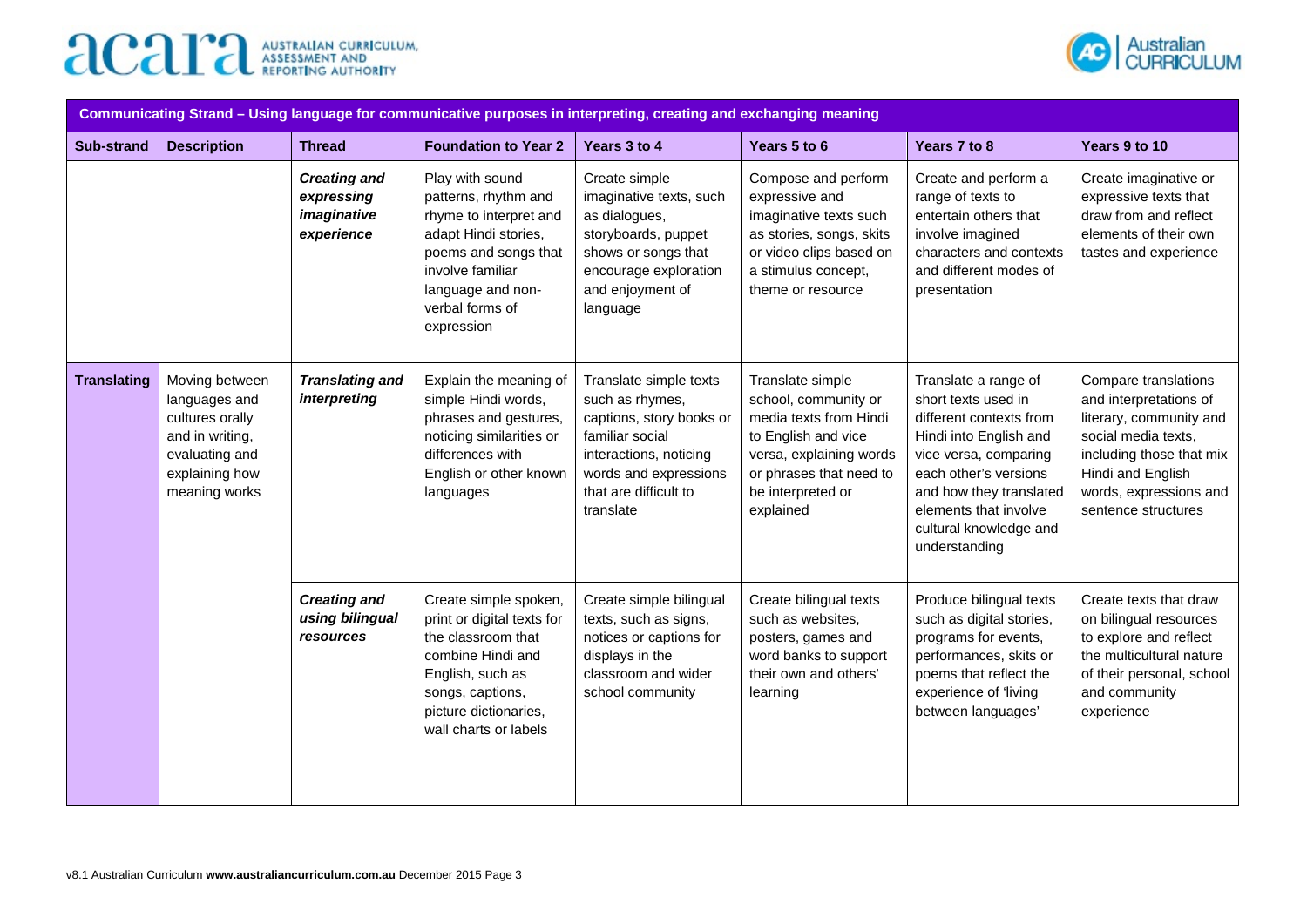



| Communicating Strand – Using language for communicative purposes in interpreting, creating and exchanging meaning |                                                                                                                            |                                                                |                                                                                                                                                                                             |                                                                                                                                                                                   |                                                                                                                                                                                   |                                                                                                                                                                                                                                                   |                                                                                                                                                                                                    |
|-------------------------------------------------------------------------------------------------------------------|----------------------------------------------------------------------------------------------------------------------------|----------------------------------------------------------------|---------------------------------------------------------------------------------------------------------------------------------------------------------------------------------------------|-----------------------------------------------------------------------------------------------------------------------------------------------------------------------------------|-----------------------------------------------------------------------------------------------------------------------------------------------------------------------------------|---------------------------------------------------------------------------------------------------------------------------------------------------------------------------------------------------------------------------------------------------|----------------------------------------------------------------------------------------------------------------------------------------------------------------------------------------------------|
| Sub-strand                                                                                                        | <b>Description</b>                                                                                                         | <b>Thread</b>                                                  | <b>Foundation to Year 2</b>                                                                                                                                                                 | Years 3 to 4                                                                                                                                                                      | Years 5 to 6                                                                                                                                                                      | Years 7 to 8                                                                                                                                                                                                                                      | Years 9 to 10                                                                                                                                                                                      |
|                                                                                                                   |                                                                                                                            | <b>Creating and</b><br>expressing<br>imaginative<br>experience | Play with sound<br>patterns, rhythm and<br>rhyme to interpret and<br>adapt Hindi stories,<br>poems and songs that<br>involve familiar<br>language and non-<br>verbal forms of<br>expression | Create simple<br>imaginative texts, such<br>as dialogues,<br>storyboards, puppet<br>shows or songs that<br>encourage exploration<br>and enjoyment of<br>language                  | Compose and perform<br>expressive and<br>imaginative texts such<br>as stories, songs, skits<br>or video clips based on<br>a stimulus concept,<br>theme or resource                | Create and perform a<br>range of texts to<br>entertain others that<br>involve imagined<br>characters and contexts<br>and different modes of<br>presentation                                                                                       | Create imaginative or<br>expressive texts that<br>draw from and reflect<br>elements of their own<br>tastes and experience                                                                          |
| <b>Translating</b>                                                                                                | Moving between<br>languages and<br>cultures orally<br>and in writing,<br>evaluating and<br>explaining how<br>meaning works | <b>Translating and</b><br>interpreting                         | Explain the meaning of<br>simple Hindi words,<br>phrases and gestures,<br>noticing similarities or<br>differences with<br>English or other known<br>languages                               | Translate simple texts<br>such as rhymes,<br>captions, story books or<br>familiar social<br>interactions, noticing<br>words and expressions<br>that are difficult to<br>translate | Translate simple<br>school, community or<br>media texts from Hindi<br>to English and vice<br>versa, explaining words<br>or phrases that need to<br>be interpreted or<br>explained | Translate a range of<br>short texts used in<br>different contexts from<br>Hindi into English and<br>vice versa, comparing<br>each other's versions<br>and how they translated<br>elements that involve<br>cultural knowledge and<br>understanding | Compare translations<br>and interpretations of<br>literary, community and<br>social media texts,<br>including those that mix<br>Hindi and English<br>words, expressions and<br>sentence structures |
|                                                                                                                   |                                                                                                                            | <b>Creating and</b><br>using bilingual<br>resources            | Create simple spoken,<br>print or digital texts for<br>the classroom that<br>combine Hindi and<br>English, such as<br>songs, captions,<br>picture dictionaries,<br>wall charts or labels    | Create simple bilingual<br>texts, such as signs,<br>notices or captions for<br>displays in the<br>classroom and wider<br>school community                                         | Create bilingual texts<br>such as websites,<br>posters, games and<br>word banks to support<br>their own and others'<br>learning                                                   | Produce bilingual texts<br>such as digital stories,<br>programs for events,<br>performances, skits or<br>poems that reflect the<br>experience of 'living<br>between languages'                                                                    | Create texts that draw<br>on bilingual resources<br>to explore and reflect<br>the multicultural nature<br>of their personal, school<br>and community<br>experience                                 |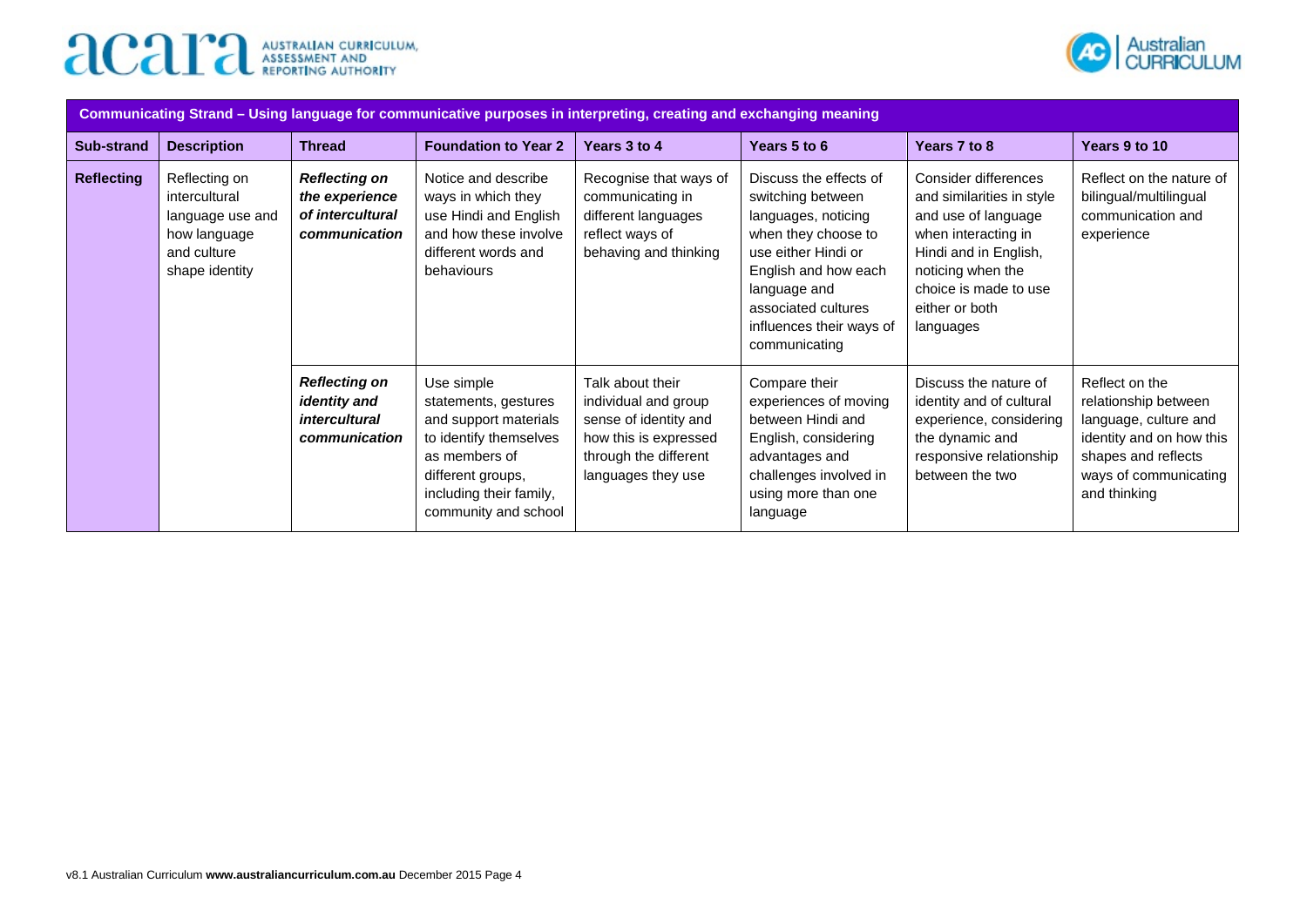



| Communicating Strand - Using language for communicative purposes in interpreting, creating and exchanging meaning |                    |                                                                                      |                                                                                                                                                                                |                                                                                                                                           |                                                                                                                                                                                                                              |                                                                                                                                                                                                       |                                                                                                                                                             |
|-------------------------------------------------------------------------------------------------------------------|--------------------|--------------------------------------------------------------------------------------|--------------------------------------------------------------------------------------------------------------------------------------------------------------------------------|-------------------------------------------------------------------------------------------------------------------------------------------|------------------------------------------------------------------------------------------------------------------------------------------------------------------------------------------------------------------------------|-------------------------------------------------------------------------------------------------------------------------------------------------------------------------------------------------------|-------------------------------------------------------------------------------------------------------------------------------------------------------------|
| Sub-strand                                                                                                        | <b>Description</b> | <b>Thread</b>                                                                        | <b>Foundation to Year 2</b>                                                                                                                                                    | Years 3 to 4                                                                                                                              | Years 5 to 6                                                                                                                                                                                                                 | Years 7 to 8                                                                                                                                                                                          | Years 9 to 10                                                                                                                                               |
| <b>Reflecting</b><br>Reflecting on<br>intercultural<br>how language<br>and culture<br>shape identity              | language use and   | <b>Reflecting on</b><br>the experience<br>of intercultural<br>communication          | Notice and describe<br>ways in which they<br>use Hindi and English<br>and how these involve<br>different words and<br>behaviours                                               | Recognise that ways of<br>communicating in<br>different languages<br>reflect ways of<br>behaving and thinking                             | Discuss the effects of<br>switching between<br>languages, noticing<br>when they choose to<br>use either Hindi or<br>English and how each<br>language and<br>associated cultures<br>influences their ways of<br>communicating | Consider differences<br>and similarities in style<br>and use of language<br>when interacting in<br>Hindi and in English,<br>noticing when the<br>choice is made to use<br>either or both<br>languages | Reflect on the nature of<br>bilingual/multilingual<br>communication and<br>experience                                                                       |
|                                                                                                                   |                    | <b>Reflecting on</b><br><i>identity and</i><br><i>intercultural</i><br>communication | Use simple<br>statements, gestures<br>and support materials<br>to identify themselves<br>as members of<br>different groups,<br>including their family,<br>community and school | Talk about their<br>individual and group<br>sense of identity and<br>how this is expressed<br>through the different<br>languages they use | Compare their<br>experiences of moving<br>between Hindi and<br>English, considering<br>advantages and<br>challenges involved in<br>using more than one<br>language                                                           | Discuss the nature of<br>identity and of cultural<br>experience, considering<br>the dynamic and<br>responsive relationship<br>between the two                                                         | Reflect on the<br>relationship between<br>language, culture and<br>identity and on how this<br>shapes and reflects<br>ways of communicating<br>and thinking |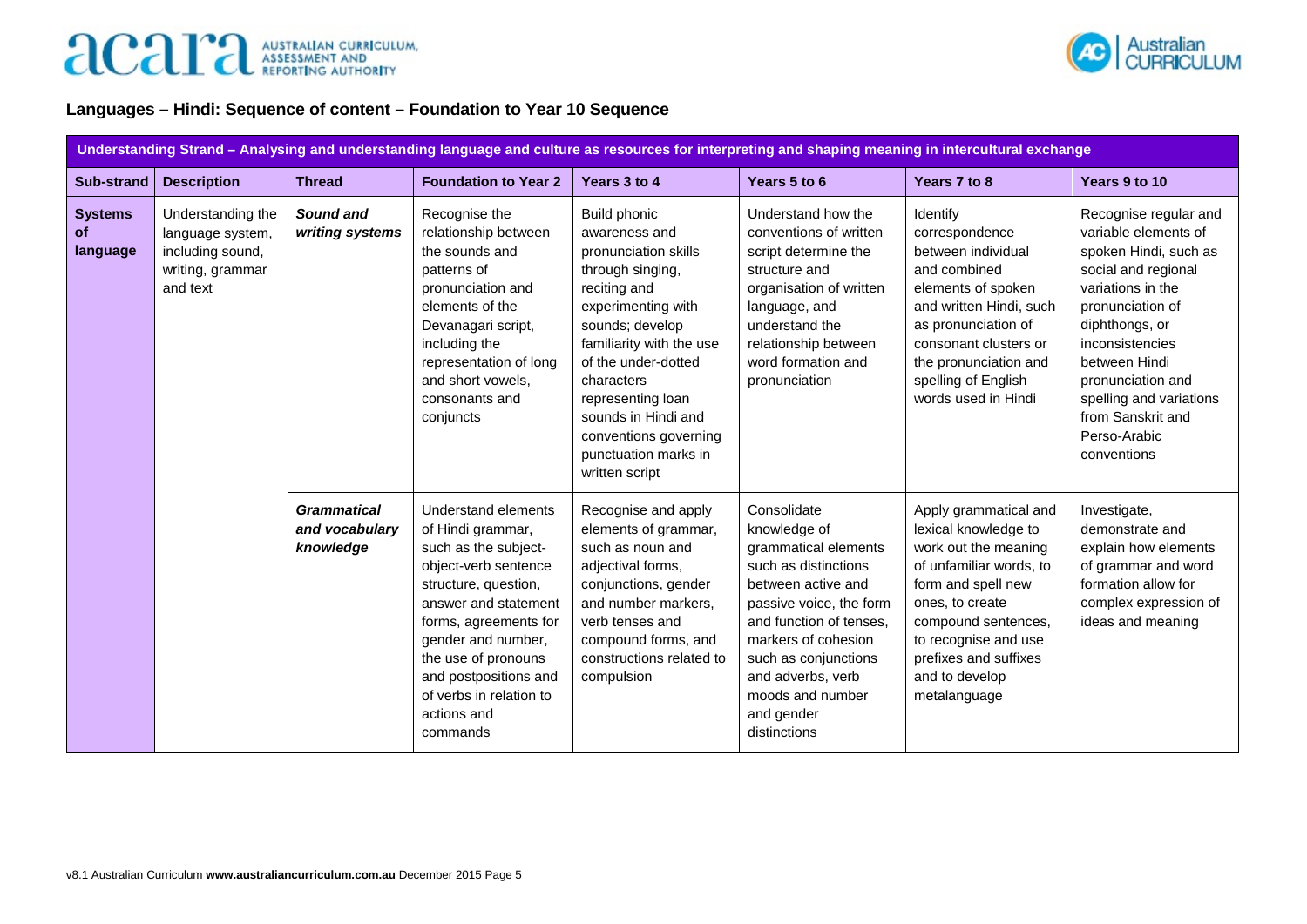

## **Languages – Hindi: Sequence of content – Foundation to Year 10 Sequence**

|                                  | Understanding Strand - Analysing and understanding language and culture as resources for interpreting and shaping meaning in intercultural exchange |                                                   |                                                                                                                                                                                                                                                                                                      |                                                                                                                                                                                                                                                                                                                           |                                                                                                                                                                                                                                                                               |                                                                                                                                                                                                                                                     |                                                                                                                                                                                                                                                                                                  |
|----------------------------------|-----------------------------------------------------------------------------------------------------------------------------------------------------|---------------------------------------------------|------------------------------------------------------------------------------------------------------------------------------------------------------------------------------------------------------------------------------------------------------------------------------------------------------|---------------------------------------------------------------------------------------------------------------------------------------------------------------------------------------------------------------------------------------------------------------------------------------------------------------------------|-------------------------------------------------------------------------------------------------------------------------------------------------------------------------------------------------------------------------------------------------------------------------------|-----------------------------------------------------------------------------------------------------------------------------------------------------------------------------------------------------------------------------------------------------|--------------------------------------------------------------------------------------------------------------------------------------------------------------------------------------------------------------------------------------------------------------------------------------------------|
| Sub-strand                       | <b>Description</b>                                                                                                                                  | <b>Thread</b>                                     | <b>Foundation to Year 2</b>                                                                                                                                                                                                                                                                          | Years 3 to 4                                                                                                                                                                                                                                                                                                              | Years 5 to 6                                                                                                                                                                                                                                                                  | Years 7 to 8                                                                                                                                                                                                                                        | Years 9 to 10                                                                                                                                                                                                                                                                                    |
| <b>Systems</b><br>of<br>language | Understanding the<br>language system,<br>including sound,<br>writing, grammar<br>and text                                                           | Sound and<br>writing systems                      | Recognise the<br>relationship between<br>the sounds and<br>patterns of<br>pronunciation and<br>elements of the<br>Devanagari script,<br>including the<br>representation of long<br>and short vowels,<br>consonants and<br>conjuncts                                                                  | <b>Build phonic</b><br>awareness and<br>pronunciation skills<br>through singing,<br>reciting and<br>experimenting with<br>sounds; develop<br>familiarity with the use<br>of the under-dotted<br>characters<br>representing loan<br>sounds in Hindi and<br>conventions governing<br>punctuation marks in<br>written script | Understand how the<br>conventions of written<br>script determine the<br>structure and<br>organisation of written<br>language, and<br>understand the<br>relationship between<br>word formation and<br>pronunciation                                                            | Identify<br>correspondence<br>between individual<br>and combined<br>elements of spoken<br>and written Hindi, such<br>as pronunciation of<br>consonant clusters or<br>the pronunciation and<br>spelling of English<br>words used in Hindi            | Recognise regular and<br>variable elements of<br>spoken Hindi, such as<br>social and regional<br>variations in the<br>pronunciation of<br>diphthongs, or<br>inconsistencies<br>between Hindi<br>pronunciation and<br>spelling and variations<br>from Sanskrit and<br>Perso-Arabic<br>conventions |
|                                  |                                                                                                                                                     | <b>Grammatical</b><br>and vocabulary<br>knowledge | <b>Understand elements</b><br>of Hindi grammar,<br>such as the subject-<br>object-verb sentence<br>structure, question,<br>answer and statement<br>forms, agreements for<br>gender and number,<br>the use of pronouns<br>and postpositions and<br>of verbs in relation to<br>actions and<br>commands | Recognise and apply<br>elements of grammar,<br>such as noun and<br>adjectival forms,<br>conjunctions, gender<br>and number markers,<br>verb tenses and<br>compound forms, and<br>constructions related to<br>compulsion                                                                                                   | Consolidate<br>knowledge of<br>grammatical elements<br>such as distinctions<br>between active and<br>passive voice, the form<br>and function of tenses,<br>markers of cohesion<br>such as conjunctions<br>and adverbs, verb<br>moods and number<br>and gender<br>distinctions | Apply grammatical and<br>lexical knowledge to<br>work out the meaning<br>of unfamiliar words, to<br>form and spell new<br>ones, to create<br>compound sentences,<br>to recognise and use<br>prefixes and suffixes<br>and to develop<br>metalanguage | Investigate,<br>demonstrate and<br>explain how elements<br>of grammar and word<br>formation allow for<br>complex expression of<br>ideas and meaning                                                                                                                                              |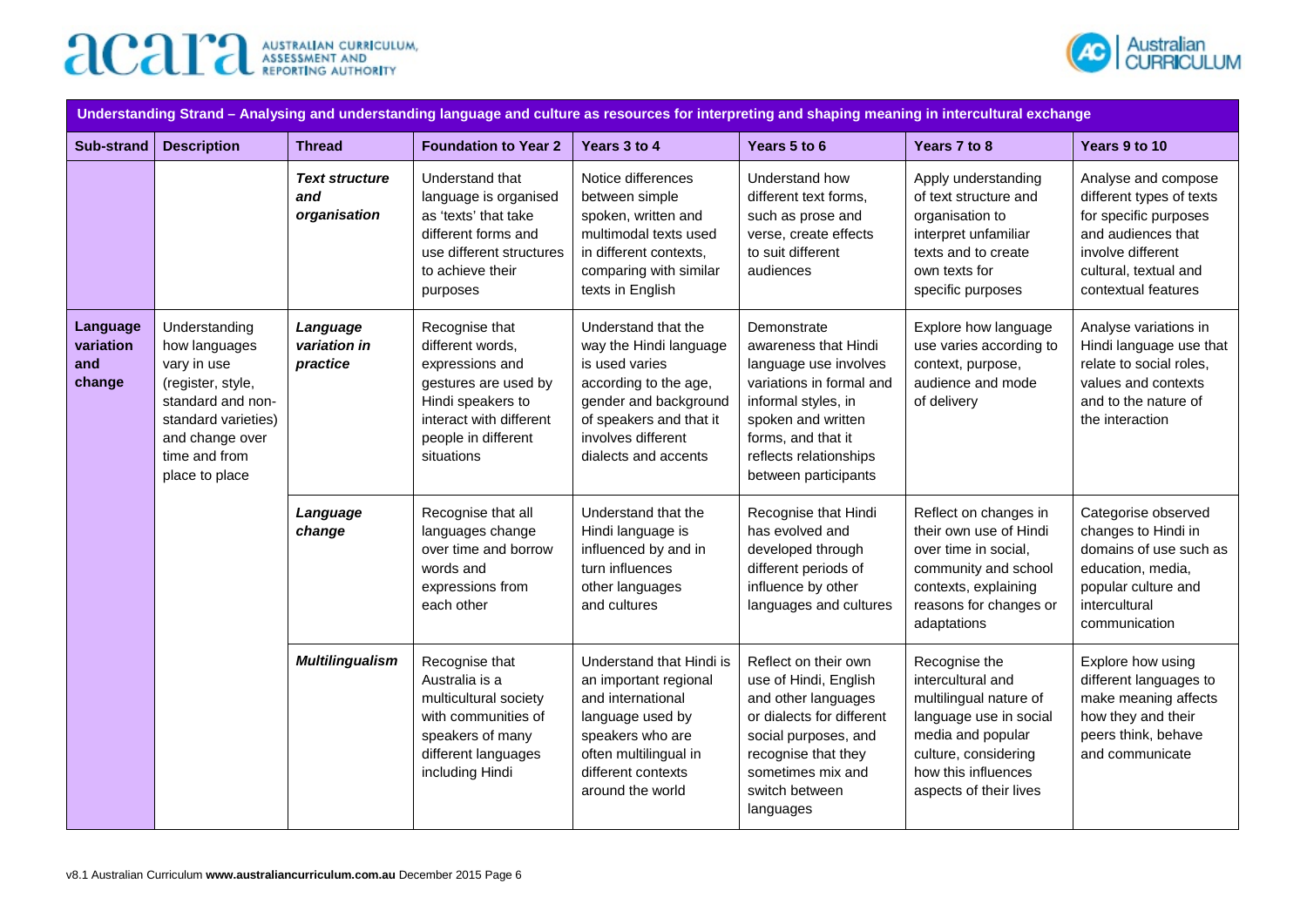



| Understanding Strand - Analysing and understanding language and culture as resources for interpreting and shaping meaning in intercultural exchange                                                            |                                      |                                                                                                                                                                    |                                                                                                                                                                                            |                                                                                                                                                                                                               |                                                                                                                                                                                                      |                                                                                                                                                                                      |                                                                                                                                                                     |
|----------------------------------------------------------------------------------------------------------------------------------------------------------------------------------------------------------------|--------------------------------------|--------------------------------------------------------------------------------------------------------------------------------------------------------------------|--------------------------------------------------------------------------------------------------------------------------------------------------------------------------------------------|---------------------------------------------------------------------------------------------------------------------------------------------------------------------------------------------------------------|------------------------------------------------------------------------------------------------------------------------------------------------------------------------------------------------------|--------------------------------------------------------------------------------------------------------------------------------------------------------------------------------------|---------------------------------------------------------------------------------------------------------------------------------------------------------------------|
| <b>Sub-strand</b>                                                                                                                                                                                              | <b>Description</b>                   | <b>Thread</b>                                                                                                                                                      | <b>Foundation to Year 2</b>                                                                                                                                                                | Years 3 to 4                                                                                                                                                                                                  | Years 5 to 6                                                                                                                                                                                         | Years 7 to 8                                                                                                                                                                         | Years 9 to 10                                                                                                                                                       |
|                                                                                                                                                                                                                |                                      | <b>Text structure</b><br>and<br>organisation                                                                                                                       | Understand that<br>language is organised<br>as 'texts' that take<br>different forms and<br>use different structures<br>to achieve their<br>purposes                                        | Notice differences<br>between simple<br>spoken, written and<br>multimodal texts used<br>in different contexts,<br>comparing with similar<br>texts in English                                                  | Understand how<br>different text forms,<br>such as prose and<br>verse, create effects<br>to suit different<br>audiences                                                                              | Apply understanding<br>of text structure and<br>organisation to<br>interpret unfamiliar<br>texts and to create<br>own texts for<br>specific purposes                                 | Analyse and compose<br>different types of texts<br>for specific purposes<br>and audiences that<br>involve different<br>cultural, textual and<br>contextual features |
| Language<br>Understanding<br>variation<br>how languages<br>and<br>vary in use<br>change<br>(register, style,<br>standard and non-<br>standard varieties)<br>and change over<br>time and from<br>place to place | Language<br>variation in<br>practice | Recognise that<br>different words,<br>expressions and<br>gestures are used by<br>Hindi speakers to<br>interact with different<br>people in different<br>situations | Understand that the<br>way the Hindi language<br>is used varies<br>according to the age,<br>gender and background<br>of speakers and that it<br>involves different<br>dialects and accents | Demonstrate<br>awareness that Hindi<br>language use involves<br>variations in formal and<br>informal styles, in<br>spoken and written<br>forms, and that it<br>reflects relationships<br>between participants | Explore how language<br>use varies according to<br>context, purpose,<br>audience and mode<br>of delivery                                                                                             | Analyse variations in<br>Hindi language use that<br>relate to social roles,<br>values and contexts<br>and to the nature of<br>the interaction                                        |                                                                                                                                                                     |
|                                                                                                                                                                                                                |                                      | Language<br>change                                                                                                                                                 | Recognise that all<br>languages change<br>over time and borrow<br>words and<br>expressions from<br>each other                                                                              | Understand that the<br>Hindi language is<br>influenced by and in<br>turn influences<br>other languages<br>and cultures                                                                                        | Recognise that Hindi<br>has evolved and<br>developed through<br>different periods of<br>influence by other<br>languages and cultures                                                                 | Reflect on changes in<br>their own use of Hindi<br>over time in social,<br>community and school<br>contexts, explaining<br>reasons for changes or<br>adaptations                     | Categorise observed<br>changes to Hindi in<br>domains of use such as<br>education, media,<br>popular culture and<br>intercultural<br>communication                  |
|                                                                                                                                                                                                                |                                      | <b>Multilingualism</b>                                                                                                                                             | Recognise that<br>Australia is a<br>multicultural society<br>with communities of<br>speakers of many<br>different languages<br>including Hindi                                             | Understand that Hindi is<br>an important regional<br>and international<br>language used by<br>speakers who are<br>often multilingual in<br>different contexts<br>around the world                             | Reflect on their own<br>use of Hindi, English<br>and other languages<br>or dialects for different<br>social purposes, and<br>recognise that they<br>sometimes mix and<br>switch between<br>languages | Recognise the<br>intercultural and<br>multilingual nature of<br>language use in social<br>media and popular<br>culture, considering<br>how this influences<br>aspects of their lives | Explore how using<br>different languages to<br>make meaning affects<br>how they and their<br>peers think, behave<br>and communicate                                 |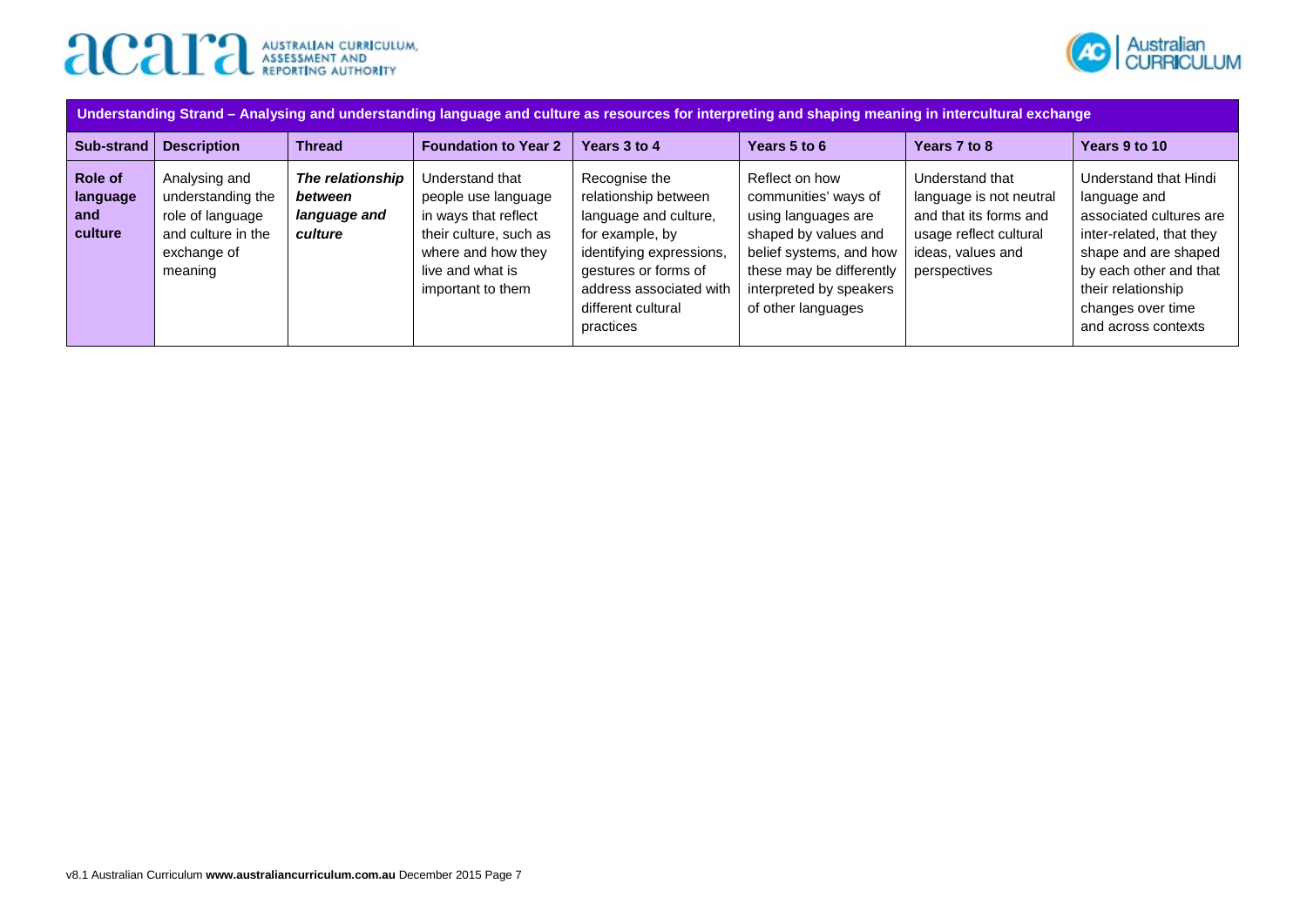



| Understanding Strand – Analysing and understanding language and culture as resources for interpreting and shaping meaning in intercultural exchange |                                                                                                        |                                                        |                                                                                                                                                         |                                                                                                                                                                                                     |                                                                                                                                                                                               |                                                                                                                                     |                                                                                                                                                                                                                  |
|-----------------------------------------------------------------------------------------------------------------------------------------------------|--------------------------------------------------------------------------------------------------------|--------------------------------------------------------|---------------------------------------------------------------------------------------------------------------------------------------------------------|-----------------------------------------------------------------------------------------------------------------------------------------------------------------------------------------------------|-----------------------------------------------------------------------------------------------------------------------------------------------------------------------------------------------|-------------------------------------------------------------------------------------------------------------------------------------|------------------------------------------------------------------------------------------------------------------------------------------------------------------------------------------------------------------|
| Sub-strand                                                                                                                                          | <b>Description</b>                                                                                     | <b>Thread</b>                                          | <b>Foundation to Year 2</b>                                                                                                                             | Years 3 to 4                                                                                                                                                                                        | Years 5 to 6                                                                                                                                                                                  | Years 7 to 8                                                                                                                        | Years 9 to 10                                                                                                                                                                                                    |
| Role of<br>language<br>and<br>culture                                                                                                               | Analysing and<br>understanding the<br>role of language<br>and culture in the<br>exchange of<br>meaning | The relationship<br>between<br>language and<br>culture | Understand that<br>people use language<br>in ways that reflect<br>their culture, such as<br>where and how they<br>live and what is<br>important to them | Recognise the<br>relationship between<br>language and culture,<br>for example, by<br>identifying expressions,<br>gestures or forms of<br>address associated with<br>different cultural<br>practices | Reflect on how<br>communities' ways of<br>using languages are<br>shaped by values and<br>belief systems, and how<br>these may be differently<br>interpreted by speakers<br>of other languages | Understand that<br>language is not neutral<br>and that its forms and<br>usage reflect cultural<br>ideas, values and<br>perspectives | Understand that Hindi<br>language and<br>associated cultures are<br>inter-related, that they<br>shape and are shaped<br>by each other and that<br>their relationship<br>changes over time<br>and across contexts |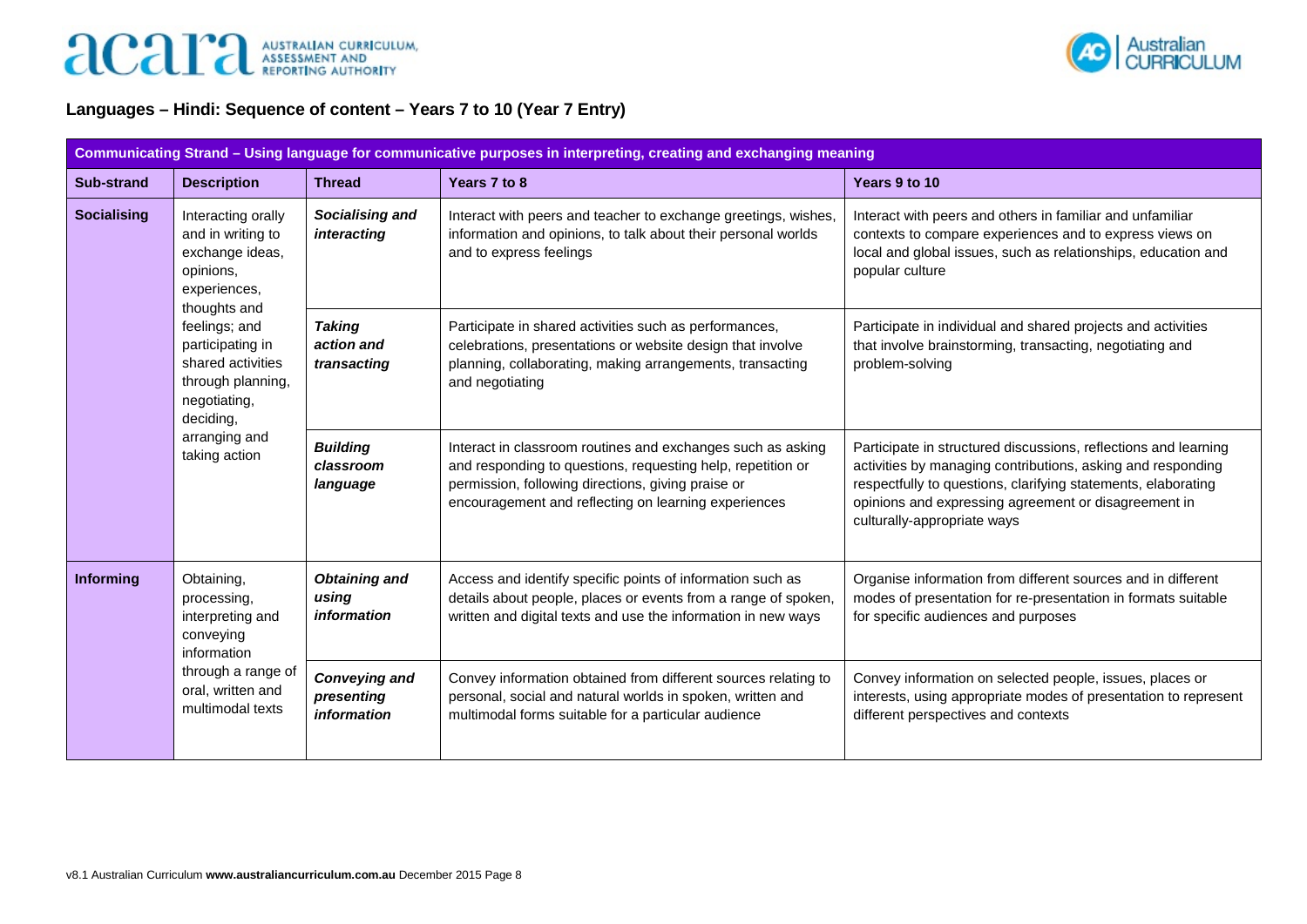

## **Languages – Hindi: Sequence of content – Years 7 to 10 (Year 7 Entry)**

|                                                             | Communicating Strand - Using language for communicative purposes in interpreting, creating and exchanging meaning |                                                     |                                                                                                                                                                                                                                          |                                                                                                                                                                                                                                                                                        |  |  |  |
|-------------------------------------------------------------|-------------------------------------------------------------------------------------------------------------------|-----------------------------------------------------|------------------------------------------------------------------------------------------------------------------------------------------------------------------------------------------------------------------------------------------|----------------------------------------------------------------------------------------------------------------------------------------------------------------------------------------------------------------------------------------------------------------------------------------|--|--|--|
| <b>Sub-strand</b>                                           | <b>Description</b>                                                                                                | <b>Thread</b>                                       | Years 7 to 8                                                                                                                                                                                                                             | Years 9 to 10                                                                                                                                                                                                                                                                          |  |  |  |
| <b>Socialising</b>                                          | Interacting orally<br>and in writing to<br>exchange ideas,<br>opinions,<br>experiences,<br>thoughts and           | Socialising and<br>interacting                      | Interact with peers and teacher to exchange greetings, wishes,<br>information and opinions, to talk about their personal worlds<br>and to express feelings                                                                               | Interact with peers and others in familiar and unfamiliar<br>contexts to compare experiences and to express views on<br>local and global issues, such as relationships, education and<br>popular culture                                                                               |  |  |  |
|                                                             | feelings; and<br>participating in<br>shared activities<br>through planning,<br>negotiating,<br>deciding,          | <b>Taking</b><br>action and<br>transacting          | Participate in shared activities such as performances,<br>celebrations, presentations or website design that involve<br>planning, collaborating, making arrangements, transacting<br>and negotiating                                     | Participate in individual and shared projects and activities<br>that involve brainstorming, transacting, negotiating and<br>problem-solving                                                                                                                                            |  |  |  |
|                                                             | arranging and<br>taking action                                                                                    | <b>Building</b><br>classroom<br>language            | Interact in classroom routines and exchanges such as asking<br>and responding to questions, requesting help, repetition or<br>permission, following directions, giving praise or<br>encouragement and reflecting on learning experiences | Participate in structured discussions, reflections and learning<br>activities by managing contributions, asking and responding<br>respectfully to questions, clarifying statements, elaborating<br>opinions and expressing agreement or disagreement in<br>culturally-appropriate ways |  |  |  |
| Informing                                                   | Obtaining,<br>processing,<br>interpreting and<br>conveying<br>information                                         | <b>Obtaining and</b><br>using<br><i>information</i> | Access and identify specific points of information such as<br>details about people, places or events from a range of spoken,<br>written and digital texts and use the information in new ways                                            | Organise information from different sources and in different<br>modes of presentation for re-presentation in formats suitable<br>for specific audiences and purposes                                                                                                                   |  |  |  |
| through a range of<br>oral, written and<br>multimodal texts |                                                                                                                   | <b>Conveying and</b><br>presenting<br>information   | Convey information obtained from different sources relating to<br>personal, social and natural worlds in spoken, written and<br>multimodal forms suitable for a particular audience                                                      | Convey information on selected people, issues, places or<br>interests, using appropriate modes of presentation to represent<br>different perspectives and contexts                                                                                                                     |  |  |  |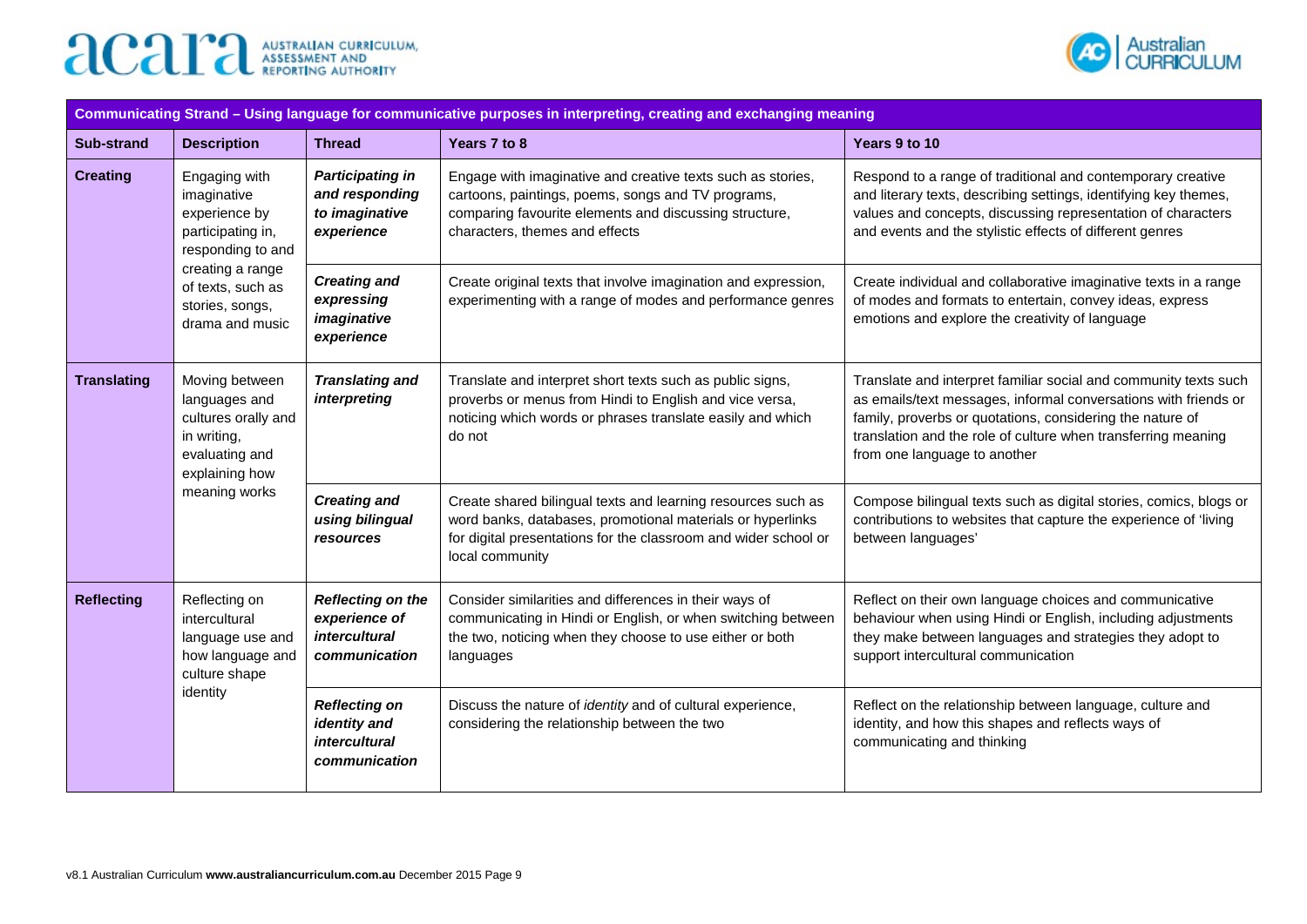



|                    |                                                                                                           |                                                                                    | Communicating Strand - Using language for communicative purposes in interpreting, creating and exchanging meaning                                                                                                |                                                                                                                                                                                                                                                                                                   |
|--------------------|-----------------------------------------------------------------------------------------------------------|------------------------------------------------------------------------------------|------------------------------------------------------------------------------------------------------------------------------------------------------------------------------------------------------------------|---------------------------------------------------------------------------------------------------------------------------------------------------------------------------------------------------------------------------------------------------------------------------------------------------|
| <b>Sub-strand</b>  | <b>Description</b>                                                                                        | <b>Thread</b>                                                                      | Years 7 to 8                                                                                                                                                                                                     | Years 9 to 10                                                                                                                                                                                                                                                                                     |
| <b>Creating</b>    | Engaging with<br>imaginative<br>experience by<br>participating in,<br>responding to and                   | <b>Participating in</b><br>and responding<br>to imaginative<br>experience          | Engage with imaginative and creative texts such as stories,<br>cartoons, paintings, poems, songs and TV programs,<br>comparing favourite elements and discussing structure,<br>characters, themes and effects    | Respond to a range of traditional and contemporary creative<br>and literary texts, describing settings, identifying key themes,<br>values and concepts, discussing representation of characters<br>and events and the stylistic effects of different genres                                       |
|                    | creating a range<br>of texts, such as<br>stories, songs,<br>drama and music                               | <b>Creating and</b><br>expressing<br>imaginative<br>experience                     | Create original texts that involve imagination and expression,<br>experimenting with a range of modes and performance genres                                                                                     | Create individual and collaborative imaginative texts in a range<br>of modes and formats to entertain, convey ideas, express<br>emotions and explore the creativity of language                                                                                                                   |
| <b>Translating</b> | Moving between<br>languages and<br>cultures orally and<br>in writing,<br>evaluating and<br>explaining how | <b>Translating and</b><br><i>interpreting</i>                                      | Translate and interpret short texts such as public signs,<br>proverbs or menus from Hindi to English and vice versa,<br>noticing which words or phrases translate easily and which<br>do not                     | Translate and interpret familiar social and community texts such<br>as emails/text messages, informal conversations with friends or<br>family, proverbs or quotations, considering the nature of<br>translation and the role of culture when transferring meaning<br>from one language to another |
|                    | meaning works                                                                                             | <b>Creating and</b><br>using bilingual<br>resources                                | Create shared bilingual texts and learning resources such as<br>word banks, databases, promotional materials or hyperlinks<br>for digital presentations for the classroom and wider school or<br>local community | Compose bilingual texts such as digital stories, comics, blogs or<br>contributions to websites that capture the experience of 'living<br>between languages'                                                                                                                                       |
| <b>Reflecting</b>  | Reflecting on<br>intercultural<br>language use and<br>how language and<br>culture shape                   | <b>Reflecting on the</b><br>experience of<br><i>intercultural</i><br>communication | Consider similarities and differences in their ways of<br>communicating in Hindi or English, or when switching between<br>the two, noticing when they choose to use either or both<br>languages                  | Reflect on their own language choices and communicative<br>behaviour when using Hindi or English, including adjustments<br>they make between languages and strategies they adopt to<br>support intercultural communication                                                                        |
|                    | identity                                                                                                  | <b>Reflecting on</b><br>identity and<br>intercultural<br>communication             | Discuss the nature of identity and of cultural experience,<br>considering the relationship between the two                                                                                                       | Reflect on the relationship between language, culture and<br>identity, and how this shapes and reflects ways of<br>communicating and thinking                                                                                                                                                     |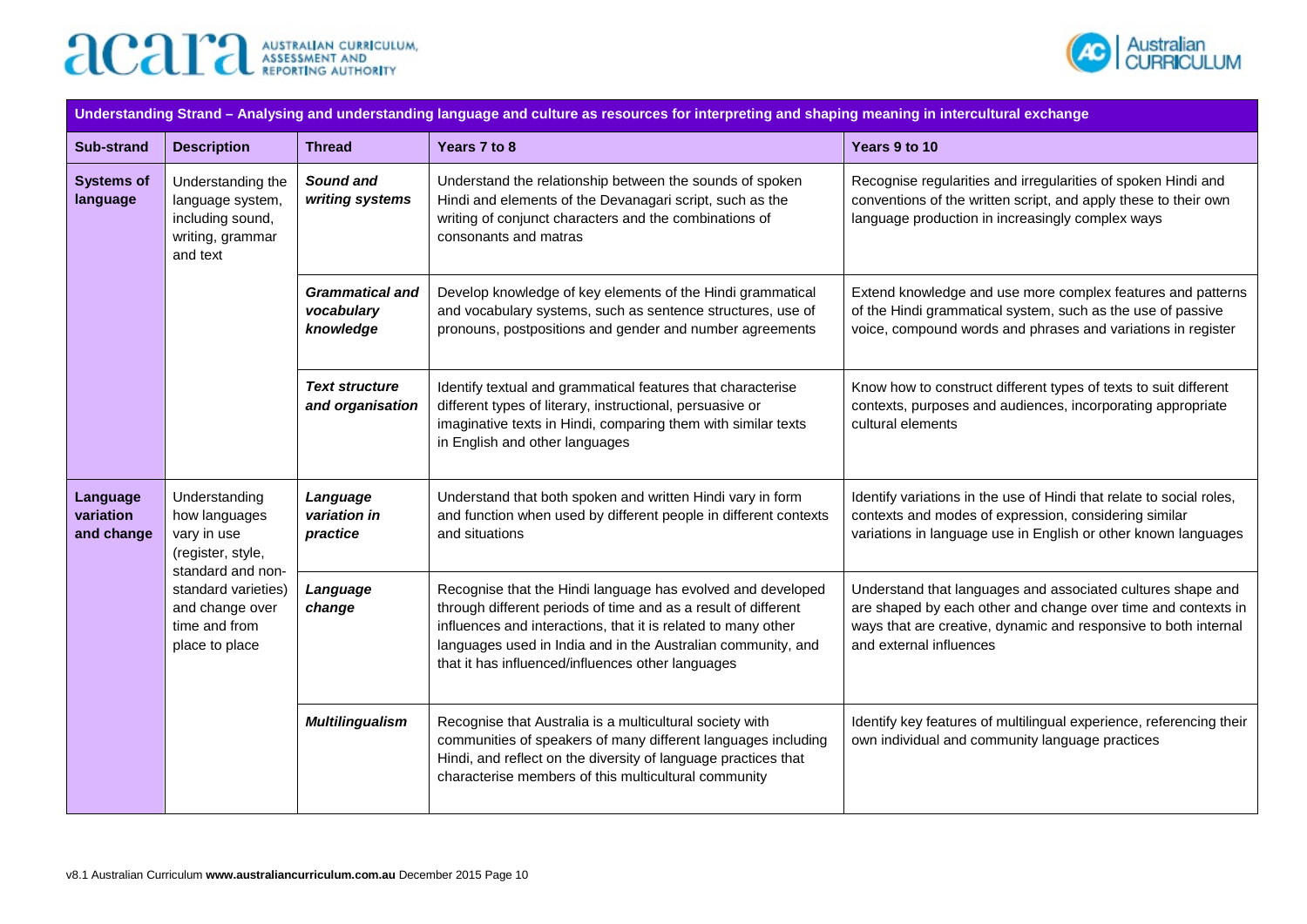



| Understanding Strand - Analysing and understanding language and culture as resources for interpreting and shaping meaning in intercultural exchange |                                                                                           |                                                   |                                                                                                                                                                                                                                                                                                                     |                                                                                                                                                                                                                            |  |  |
|-----------------------------------------------------------------------------------------------------------------------------------------------------|-------------------------------------------------------------------------------------------|---------------------------------------------------|---------------------------------------------------------------------------------------------------------------------------------------------------------------------------------------------------------------------------------------------------------------------------------------------------------------------|----------------------------------------------------------------------------------------------------------------------------------------------------------------------------------------------------------------------------|--|--|
| <b>Sub-strand</b>                                                                                                                                   | <b>Description</b>                                                                        | <b>Thread</b>                                     | Years 7 to 8                                                                                                                                                                                                                                                                                                        | Years 9 to 10                                                                                                                                                                                                              |  |  |
| <b>Systems of</b><br>language                                                                                                                       | Understanding the<br>language system,<br>including sound,<br>writing, grammar<br>and text | Sound and<br>writing systems                      | Understand the relationship between the sounds of spoken<br>Hindi and elements of the Devanagari script, such as the<br>writing of conjunct characters and the combinations of<br>consonants and matras                                                                                                             | Recognise regularities and irregularities of spoken Hindi and<br>conventions of the written script, and apply these to their own<br>language production in increasingly complex ways                                       |  |  |
|                                                                                                                                                     |                                                                                           | <b>Grammatical and</b><br>vocabulary<br>knowledge | Develop knowledge of key elements of the Hindi grammatical<br>and vocabulary systems, such as sentence structures, use of<br>pronouns, postpositions and gender and number agreements                                                                                                                               | Extend knowledge and use more complex features and patterns<br>of the Hindi grammatical system, such as the use of passive<br>voice, compound words and phrases and variations in register                                 |  |  |
|                                                                                                                                                     |                                                                                           | <b>Text structure</b><br>and organisation         | Identify textual and grammatical features that characterise<br>different types of literary, instructional, persuasive or<br>imaginative texts in Hindi, comparing them with similar texts<br>in English and other languages                                                                                         | Know how to construct different types of texts to suit different<br>contexts, purposes and audiences, incorporating appropriate<br>cultural elements                                                                       |  |  |
| Language<br>variation<br>and change                                                                                                                 | Understanding<br>how languages<br>vary in use<br>(register, style,<br>standard and non-   | Language<br>variation in<br>practice              | Understand that both spoken and written Hindi vary in form<br>and function when used by different people in different contexts<br>and situations                                                                                                                                                                    | Identify variations in the use of Hindi that relate to social roles,<br>contexts and modes of expression, considering similar<br>variations in language use in English or other known languages                            |  |  |
|                                                                                                                                                     | standard varieties)<br>and change over<br>time and from<br>place to place                 | Language<br>change                                | Recognise that the Hindi language has evolved and developed<br>through different periods of time and as a result of different<br>influences and interactions, that it is related to many other<br>languages used in India and in the Australian community, and<br>that it has influenced/influences other languages | Understand that languages and associated cultures shape and<br>are shaped by each other and change over time and contexts in<br>ways that are creative, dynamic and responsive to both internal<br>and external influences |  |  |
|                                                                                                                                                     |                                                                                           | <b>Multilingualism</b>                            | Recognise that Australia is a multicultural society with<br>communities of speakers of many different languages including<br>Hindi, and reflect on the diversity of language practices that<br>characterise members of this multicultural community                                                                 | Identify key features of multilingual experience, referencing their<br>own individual and community language practices                                                                                                     |  |  |